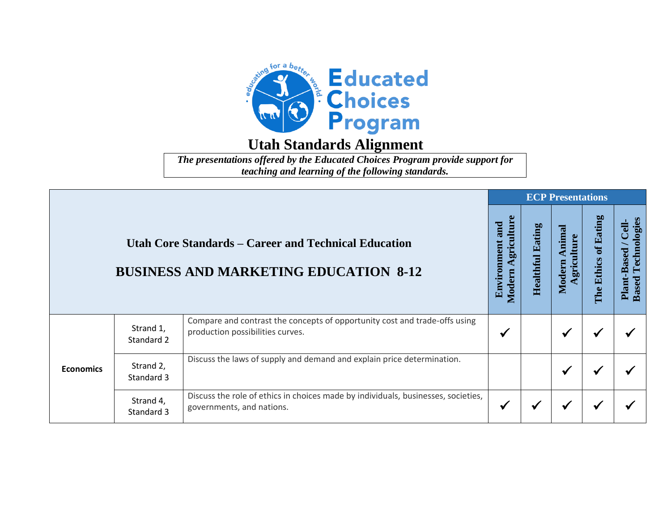

*The presentations offered by the Educated Choices Program provide support for teaching and learning of the following standards.*

|                  | <b>Utah Core Standards – Career and Technical Education</b><br><b>BUSINESS AND MARKETING EDUCATION 8-12</b><br>Compare and contrast the concepts of opportunity cost and trade-offs using<br>Strand 1,<br>production possibilities curves.<br>Standard 2 | <b>ECP Presentations</b>                                                                                       |                                             |                            |                                |                      |                                                      |  |  |
|------------------|----------------------------------------------------------------------------------------------------------------------------------------------------------------------------------------------------------------------------------------------------------|----------------------------------------------------------------------------------------------------------------|---------------------------------------------|----------------------------|--------------------------------|----------------------|------------------------------------------------------|--|--|
|                  |                                                                                                                                                                                                                                                          |                                                                                                                | Agriculture<br>and<br>Environment<br>Modern | Eating<br><b>Healthful</b> | Animal<br>griculture<br>Modern | The Ethics of Eating | Technologies<br>Cell-<br>Plant-Based<br><b>Based</b> |  |  |
|                  |                                                                                                                                                                                                                                                          |                                                                                                                | $\checkmark$                                |                            | ✔                              |                      |                                                      |  |  |
| <b>Economics</b> | Strand 2,<br>Standard 3                                                                                                                                                                                                                                  | Discuss the laws of supply and demand and explain price determination.                                         |                                             |                            | ✔                              |                      |                                                      |  |  |
|                  | Strand 4,<br>Standard 3                                                                                                                                                                                                                                  | Discuss the role of ethics in choices made by individuals, businesses, societies,<br>governments, and nations. | $\checkmark$                                |                            | ✔                              |                      |                                                      |  |  |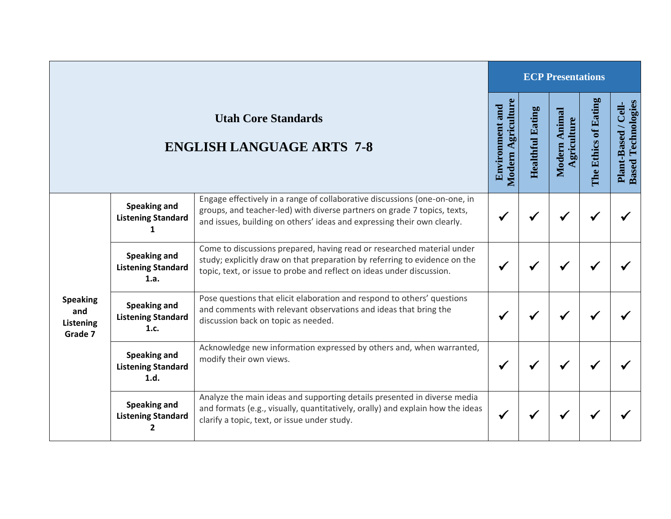|                                                |                                                          |                                                                                                                                                                                                                                   |                                              |                         | <b>ECP Presentations</b>     |                      |                                                  |
|------------------------------------------------|----------------------------------------------------------|-----------------------------------------------------------------------------------------------------------------------------------------------------------------------------------------------------------------------------------|----------------------------------------------|-------------------------|------------------------------|----------------------|--------------------------------------------------|
|                                                |                                                          | <b>Utah Core Standards</b><br><b>ENGLISH LANGUAGE ARTS 7-8</b>                                                                                                                                                                    | Modern Agriculture<br><b>Environment and</b> | <b>Healthful Eating</b> | Modern Animal<br>Agriculture | The Ethics of Eating | <b>Based Technologies</b><br>Plant-Based / Cell- |
| <b>Speaking</b><br>and<br>Listening<br>Grade 7 | Speaking and<br><b>Listening Standard</b>                | Engage effectively in a range of collaborative discussions (one-on-one, in<br>groups, and teacher-led) with diverse partners on grade 7 topics, texts,<br>and issues, building on others' ideas and expressing their own clearly. |                                              |                         | $\checkmark$                 |                      |                                                  |
|                                                | <b>Speaking and</b><br><b>Listening Standard</b><br>1.a. | Come to discussions prepared, having read or researched material under<br>study; explicitly draw on that preparation by referring to evidence on the<br>topic, text, or issue to probe and reflect on ideas under discussion.     |                                              |                         |                              |                      |                                                  |
|                                                | <b>Speaking and</b><br><b>Listening Standard</b><br>1.c. | Pose questions that elicit elaboration and respond to others' questions<br>and comments with relevant observations and ideas that bring the<br>discussion back on topic as needed.                                                |                                              |                         | √                            |                      |                                                  |
|                                                | <b>Speaking and</b><br><b>Listening Standard</b><br>1.d. | Acknowledge new information expressed by others and, when warranted,<br>modify their own views.                                                                                                                                   |                                              |                         |                              |                      |                                                  |
|                                                | Speaking and<br><b>Listening Standard</b><br>2           | Analyze the main ideas and supporting details presented in diverse media<br>and formats (e.g., visually, quantitatively, orally) and explain how the ideas<br>clarify a topic, text, or issue under study.                        | ✔                                            |                         | √                            | √                    |                                                  |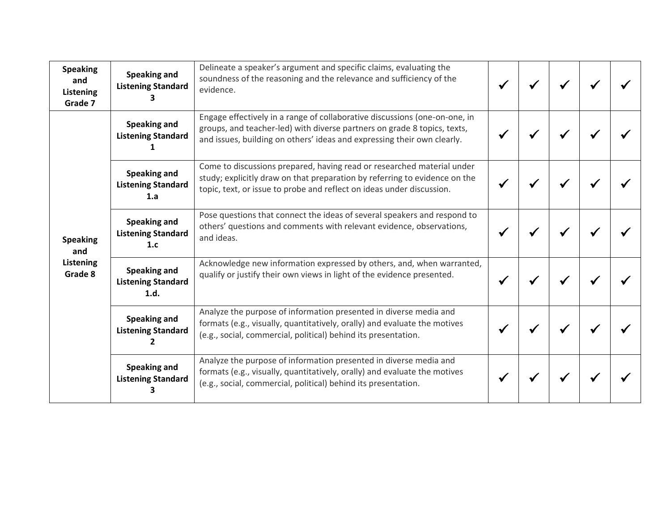| <b>Speaking</b><br>and<br>Listening<br>Grade 7 | Speaking and<br><b>Listening Standard</b>                | Delineate a speaker's argument and specific claims, evaluating the<br>soundness of the reasoning and the relevance and sufficiency of the<br>evidence.                                                                            |  |  |  |
|------------------------------------------------|----------------------------------------------------------|-----------------------------------------------------------------------------------------------------------------------------------------------------------------------------------------------------------------------------------|--|--|--|
| <b>Speaking</b><br>and                         | Speaking and<br><b>Listening Standard</b>                | Engage effectively in a range of collaborative discussions (one-on-one, in<br>groups, and teacher-led) with diverse partners on grade 8 topics, texts,<br>and issues, building on others' ideas and expressing their own clearly. |  |  |  |
|                                                | <b>Speaking and</b><br><b>Listening Standard</b><br>1.a  | Come to discussions prepared, having read or researched material under<br>study; explicitly draw on that preparation by referring to evidence on the<br>topic, text, or issue to probe and reflect on ideas under discussion.     |  |  |  |
|                                                | Speaking and<br><b>Listening Standard</b><br>1.c         | Pose questions that connect the ideas of several speakers and respond to<br>others' questions and comments with relevant evidence, observations,<br>and ideas.                                                                    |  |  |  |
| Listening<br>Grade 8                           | <b>Speaking and</b><br><b>Listening Standard</b><br>1.d. | Acknowledge new information expressed by others, and, when warranted,<br>qualify or justify their own views in light of the evidence presented.                                                                                   |  |  |  |
|                                                | Speaking and<br><b>Listening Standard</b>                | Analyze the purpose of information presented in diverse media and<br>formats (e.g., visually, quantitatively, orally) and evaluate the motives<br>(e.g., social, commercial, political) behind its presentation.                  |  |  |  |
|                                                | Speaking and<br><b>Listening Standard</b>                | Analyze the purpose of information presented in diverse media and<br>formats (e.g., visually, quantitatively, orally) and evaluate the motives<br>(e.g., social, commercial, political) behind its presentation.                  |  |  |  |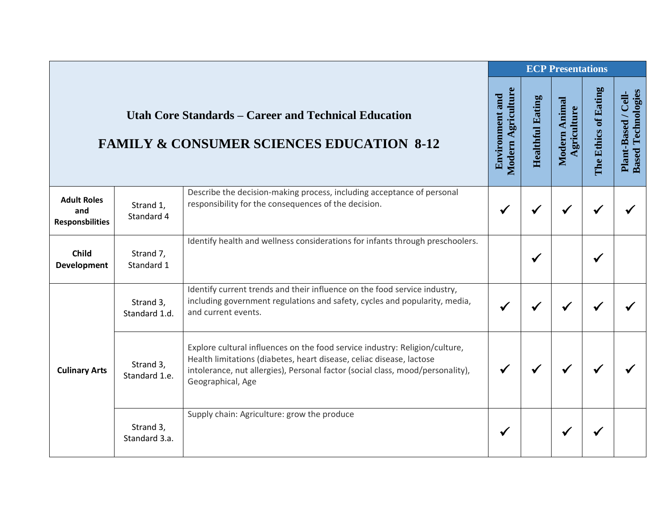|                                                     |                                                                                                                     |                                                                                                                                                                                                                                                            |              |              | <b>ECP Presentations</b> |                      |                                                  |
|-----------------------------------------------------|---------------------------------------------------------------------------------------------------------------------|------------------------------------------------------------------------------------------------------------------------------------------------------------------------------------------------------------------------------------------------------------|--------------|--------------|--------------------------|----------------------|--------------------------------------------------|
|                                                     | <b>Utah Core Standards – Career and Technical Education</b><br><b>FAMILY &amp; CONSUMER SCIENCES EDUCATION 8-12</b> |                                                                                                                                                                                                                                                            |              |              |                          | The Ethics of Eating | <b>Based Technologies</b><br>Plant-Based / Cell- |
| <b>Adult Roles</b><br>and<br><b>Responsbilities</b> | Strand 1,<br>Standard 4                                                                                             | Describe the decision-making process, including acceptance of personal<br>responsibility for the consequences of the decision.                                                                                                                             | √            |              |                          |                      |                                                  |
| <b>Child</b><br>Development                         | Strand 7,<br>Standard 1                                                                                             | Identify health and wellness considerations for infants through preschoolers.                                                                                                                                                                              |              | $\checkmark$ |                          |                      |                                                  |
| <b>Culinary Arts</b>                                | Strand 3,<br>Standard 1.d.                                                                                          | Identify current trends and their influence on the food service industry,<br>including government regulations and safety, cycles and popularity, media,<br>and current events.                                                                             | ✔            |              |                          |                      |                                                  |
|                                                     | Strand 3,<br>Standard 1.e.                                                                                          | Explore cultural influences on the food service industry: Religion/culture,<br>Health limitations (diabetes, heart disease, celiac disease, lactose<br>intolerance, nut allergies), Personal factor (social class, mood/personality),<br>Geographical, Age | $\checkmark$ | ✔            |                          |                      |                                                  |
|                                                     | Strand 3,<br>Standard 3.a.                                                                                          | Supply chain: Agriculture: grow the produce                                                                                                                                                                                                                | ✔            |              |                          |                      |                                                  |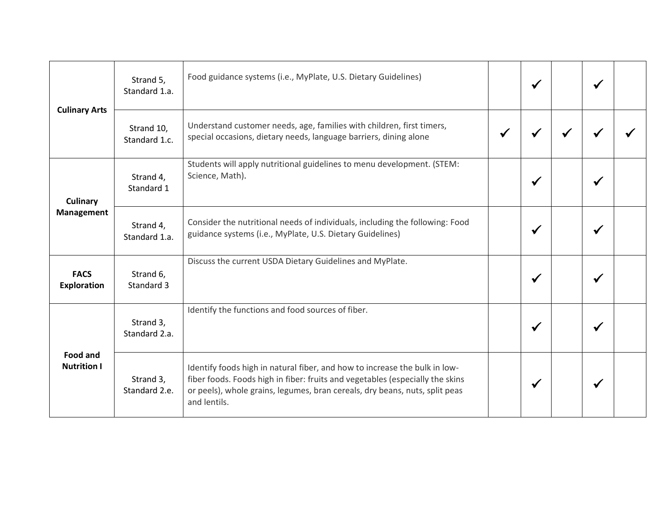| <b>Culinary Arts</b><br><b>Culinary</b><br>Management<br><b>FACS</b><br><b>Exploration</b><br><b>Food and</b><br><b>Nutrition I</b> | Strand 5,<br>Standard 1.a.  | Food guidance systems (i.e., MyPlate, U.S. Dietary Guidelines)                                                                                                                                                                                             | $\checkmark$ | √ |  |
|-------------------------------------------------------------------------------------------------------------------------------------|-----------------------------|------------------------------------------------------------------------------------------------------------------------------------------------------------------------------------------------------------------------------------------------------------|--------------|---|--|
|                                                                                                                                     | Strand 10,<br>Standard 1.c. | Understand customer needs, age, families with children, first timers,<br>special occasions, dietary needs, language barriers, dining alone                                                                                                                 |              |   |  |
|                                                                                                                                     | Strand 4,<br>Standard 1     | Students will apply nutritional guidelines to menu development. (STEM:<br>Science, Math).                                                                                                                                                                  | $\checkmark$ |   |  |
|                                                                                                                                     | Strand 4,<br>Standard 1.a.  | Consider the nutritional needs of individuals, including the following: Food<br>guidance systems (i.e., MyPlate, U.S. Dietary Guidelines)                                                                                                                  | $\checkmark$ | ✔ |  |
|                                                                                                                                     | Strand 6,<br>Standard 3     | Discuss the current USDA Dietary Guidelines and MyPlate.                                                                                                                                                                                                   | $\checkmark$ | √ |  |
|                                                                                                                                     | Strand 3,<br>Standard 2.a.  | Identify the functions and food sources of fiber.                                                                                                                                                                                                          | $\checkmark$ |   |  |
|                                                                                                                                     | Strand 3,<br>Standard 2.e.  | Identify foods high in natural fiber, and how to increase the bulk in low-<br>fiber foods. Foods high in fiber: fruits and vegetables (especially the skins<br>or peels), whole grains, legumes, bran cereals, dry beans, nuts, split peas<br>and lentils. | $\checkmark$ |   |  |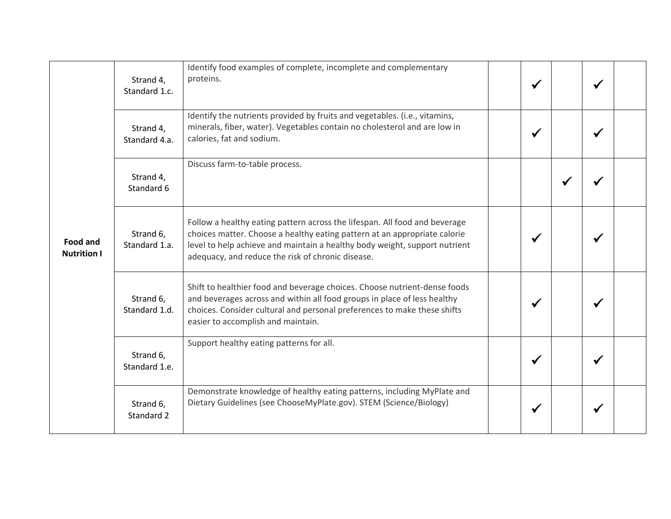|                                       | Strand 4,<br>Standard 1.c. | Identify food examples of complete, incomplete and complementary<br>proteins.                                                                                                                                                                                                              | ✔            |   | ✔ |  |
|---------------------------------------|----------------------------|--------------------------------------------------------------------------------------------------------------------------------------------------------------------------------------------------------------------------------------------------------------------------------------------|--------------|---|---|--|
|                                       | Strand 4,<br>Standard 4.a. | Identify the nutrients provided by fruits and vegetables. (i.e., vitamins,<br>minerals, fiber, water). Vegetables contain no cholesterol and are low in<br>calories, fat and sodium.                                                                                                       | ✔            |   | ✔ |  |
| <b>Food and</b><br><b>Nutrition I</b> | Strand 4,<br>Standard 6    | Discuss farm-to-table process.                                                                                                                                                                                                                                                             |              | ✔ |   |  |
|                                       | Strand 6,<br>Standard 1.a. | Follow a healthy eating pattern across the lifespan. All food and beverage<br>choices matter. Choose a healthy eating pattern at an appropriate calorie<br>level to help achieve and maintain a healthy body weight, support nutrient<br>adequacy, and reduce the risk of chronic disease. | ✔            |   |   |  |
|                                       | Strand 6,<br>Standard 1.d. | Shift to healthier food and beverage choices. Choose nutrient-dense foods<br>and beverages across and within all food groups in place of less healthy<br>choices. Consider cultural and personal preferences to make these shifts<br>easier to accomplish and maintain.                    | ✔            |   |   |  |
|                                       | Strand 6,<br>Standard 1.e. | Support healthy eating patterns for all.                                                                                                                                                                                                                                                   | $\checkmark$ |   |   |  |
|                                       | Strand 6,<br>Standard 2    | Demonstrate knowledge of healthy eating patterns, including MyPlate and<br>Dietary Guidelines (see ChooseMyPlate.gov). STEM (Science/Biology)                                                                                                                                              |              |   |   |  |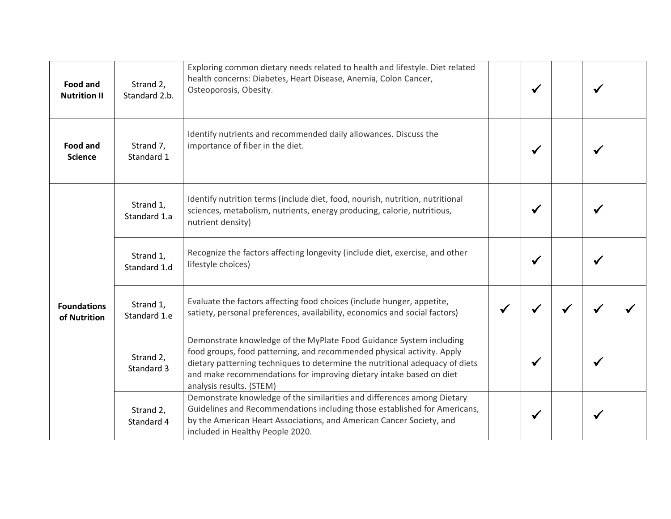| <b>Food and</b><br><b>Nutrition II</b> | Strand 2,<br>Standard 2.b. | Exploring common dietary needs related to health and lifestyle. Diet related<br>health concerns: Diabetes, Heart Disease, Anemia, Colon Cancer,<br>Osteoporosis, Obesity.                                                                                                                                                        |   | $\checkmark$ | ✔            |  |
|----------------------------------------|----------------------------|----------------------------------------------------------------------------------------------------------------------------------------------------------------------------------------------------------------------------------------------------------------------------------------------------------------------------------|---|--------------|--------------|--|
| <b>Food and</b><br><b>Science</b>      | Strand 7,<br>Standard 1    | Identify nutrients and recommended daily allowances. Discuss the<br>importance of fiber in the diet.                                                                                                                                                                                                                             |   | $\checkmark$ | ✔            |  |
|                                        | Strand 1,<br>Standard 1.a  | Identify nutrition terms (include diet, food, nourish, nutrition, nutritional<br>sciences, metabolism, nutrients, energy producing, calorie, nutritious,<br>nutrient density)                                                                                                                                                    |   |              | ✔            |  |
|                                        | Strand 1,<br>Standard 1.d  | Recognize the factors affecting longevity (include diet, exercise, and other<br>lifestyle choices)                                                                                                                                                                                                                               |   | $\checkmark$ | $\checkmark$ |  |
| <b>Foundations</b><br>of Nutrition     | Strand 1,<br>Standard 1.e  | Evaluate the factors affecting food choices (include hunger, appetite,<br>satiety, personal preferences, availability, economics and social factors)                                                                                                                                                                             | ✔ |              |              |  |
|                                        | Strand 2,<br>Standard 3    | Demonstrate knowledge of the MyPlate Food Guidance System including<br>food groups, food patterning, and recommended physical activity. Apply<br>dietary patterning techniques to determine the nutritional adequacy of diets<br>and make recommendations for improving dietary intake based on diet<br>analysis results. (STEM) |   | √            | ✔            |  |
|                                        | Strand 2,<br>Standard 4    | Demonstrate knowledge of the similarities and differences among Dietary<br>Guidelines and Recommendations including those established for Americans,<br>by the American Heart Associations, and American Cancer Society, and<br>included in Healthy People 2020.                                                                 |   |              |              |  |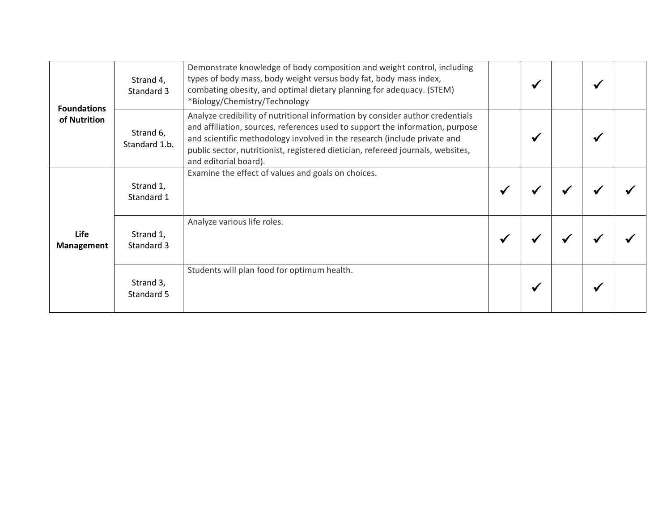| <b>Foundations</b><br>of Nutrition | Strand 4,<br>Standard 3    | Demonstrate knowledge of body composition and weight control, including<br>types of body mass, body weight versus body fat, body mass index,<br>combating obesity, and optimal dietary planning for adequacy. (STEM)<br>*Biology/Chemistry/Technology                                                                                                  | ✔ |  |  |
|------------------------------------|----------------------------|--------------------------------------------------------------------------------------------------------------------------------------------------------------------------------------------------------------------------------------------------------------------------------------------------------------------------------------------------------|---|--|--|
|                                    | Strand 6,<br>Standard 1.b. | Analyze credibility of nutritional information by consider author credentials<br>and affiliation, sources, references used to support the information, purpose<br>and scientific methodology involved in the research (include private and<br>public sector, nutritionist, registered dietician, refereed journals, websites,<br>and editorial board). |   |  |  |
| Life<br><b>Management</b>          | Strand 1,<br>Standard 1    | Examine the effect of values and goals on choices.                                                                                                                                                                                                                                                                                                     |   |  |  |
|                                    | Strand 1,<br>Standard 3    | Analyze various life roles.                                                                                                                                                                                                                                                                                                                            |   |  |  |
|                                    | Strand 3,<br>Standard 5    | Students will plan food for optimum health.                                                                                                                                                                                                                                                                                                            | ₩ |  |  |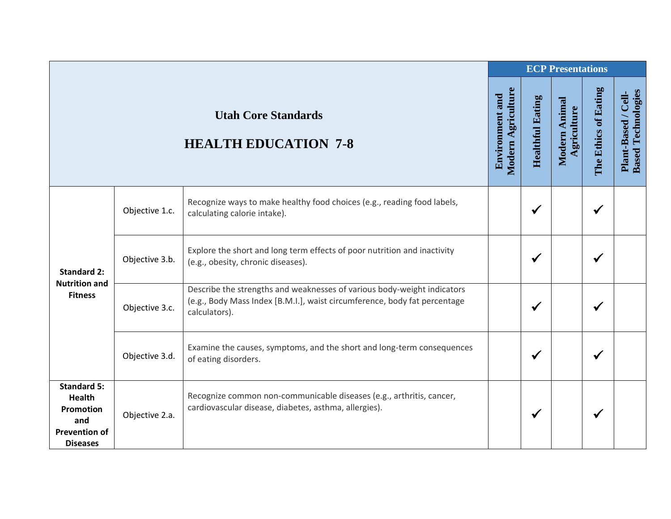|                                                                                                    |                |                                                                                                                                                                       |                                              |                         | <b>ECP Presentations</b>     |                      |                                                  |
|----------------------------------------------------------------------------------------------------|----------------|-----------------------------------------------------------------------------------------------------------------------------------------------------------------------|----------------------------------------------|-------------------------|------------------------------|----------------------|--------------------------------------------------|
|                                                                                                    |                | <b>Utah Core Standards</b><br><b>HEALTH EDUCATION 7-8</b>                                                                                                             | Modern Agriculture<br><b>Environment and</b> | <b>Healthful Eating</b> | Modern Animal<br>Agriculture | The Ethics of Eating | <b>Based Technologies</b><br>Plant-Based / Cell- |
| <b>Standard 2:</b>                                                                                 | Objective 1.c. | Recognize ways to make healthy food choices (e.g., reading food labels,<br>calculating calorie intake).                                                               |                                              | $\checkmark$            |                              | ✔                    |                                                  |
|                                                                                                    | Objective 3.b. | Explore the short and long term effects of poor nutrition and inactivity<br>(e.g., obesity, chronic diseases).                                                        |                                              | ✔                       |                              |                      |                                                  |
| <b>Nutrition and</b><br><b>Fitness</b>                                                             | Objective 3.c. | Describe the strengths and weaknesses of various body-weight indicators<br>(e.g., Body Mass Index [B.M.I.], waist circumference, body fat percentage<br>calculators). |                                              | $\checkmark$            |                              |                      |                                                  |
|                                                                                                    | Objective 3.d. | Examine the causes, symptoms, and the short and long-term consequences<br>of eating disorders.                                                                        |                                              | $\checkmark$            |                              |                      |                                                  |
| <b>Standard 5:</b><br><b>Health</b><br>Promotion<br>and<br><b>Prevention of</b><br><b>Diseases</b> | Objective 2.a. | Recognize common non-communicable diseases (e.g., arthritis, cancer,<br>cardiovascular disease, diabetes, asthma, allergies).                                         |                                              | ✔                       |                              |                      |                                                  |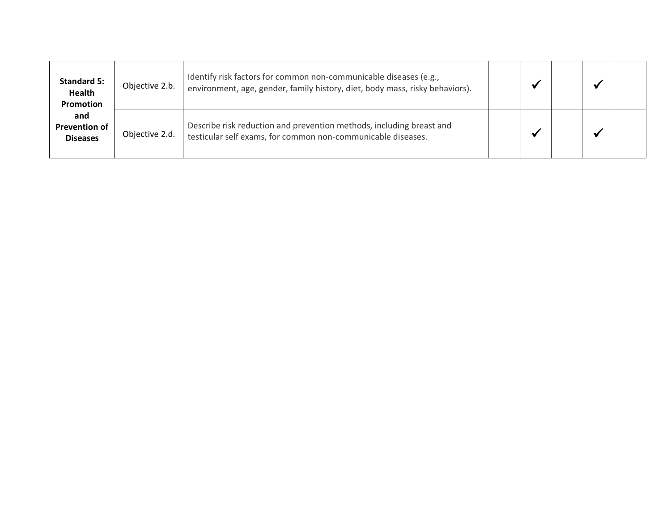| <b>Standard 5:</b><br><b>Health</b><br>Promotion | Objective 2.b. | Identify risk factors for common non-communicable diseases (e.g.,<br>environment, age, gender, family history, diet, body mass, risky behaviors). |  |  |  |
|--------------------------------------------------|----------------|---------------------------------------------------------------------------------------------------------------------------------------------------|--|--|--|
| and<br><b>Prevention of</b><br><b>Diseases</b>   | Objective 2.d. | Describe risk reduction and prevention methods, including breast and<br>testicular self exams, for common non-communicable diseases.              |  |  |  |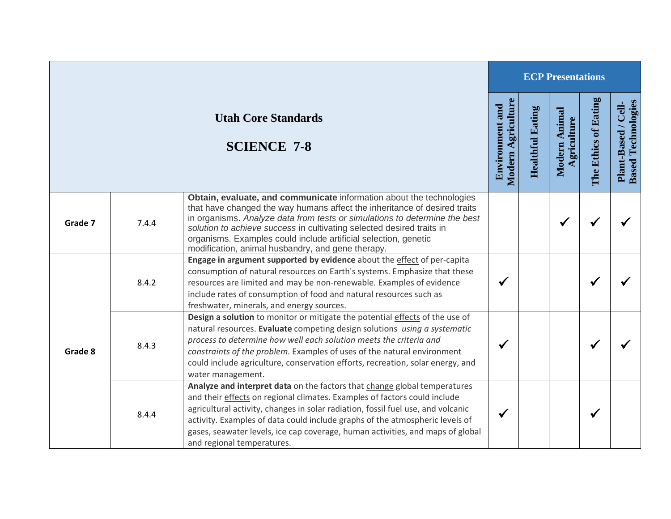|         |       |                                                                                                                                                                                                                                                                                                                                                                                                                                            |                                              |                         | <b>ECP Presentations</b>     |                      |                                                  |
|---------|-------|--------------------------------------------------------------------------------------------------------------------------------------------------------------------------------------------------------------------------------------------------------------------------------------------------------------------------------------------------------------------------------------------------------------------------------------------|----------------------------------------------|-------------------------|------------------------------|----------------------|--------------------------------------------------|
|         |       | <b>Utah Core Standards</b><br><b>SCIENCE 7-8</b>                                                                                                                                                                                                                                                                                                                                                                                           | Modern Agriculture<br><b>Environment</b> and | <b>Healthful Eating</b> | Modern Animal<br>Agriculture | The Ethics of Eating | <b>Based Technologies</b><br>Plant-Based / Cell- |
| Grade 7 | 7.4.4 | Obtain, evaluate, and communicate information about the technologies<br>that have changed the way humans affect the inheritance of desired traits<br>in organisms. Analyze data from tests or simulations to determine the best<br>solution to achieve success in cultivating selected desired traits in<br>organisms. Examples could include artificial selection, genetic<br>modification, animal husbandry, and gene therapy.           |                                              |                         | $\checkmark$                 | $\checkmark$         |                                                  |
| Grade 8 | 8.4.2 | Engage in argument supported by evidence about the effect of per-capita<br>consumption of natural resources on Earth's systems. Emphasize that these<br>resources are limited and may be non-renewable. Examples of evidence<br>include rates of consumption of food and natural resources such as<br>freshwater, minerals, and energy sources.                                                                                            |                                              |                         |                              | $\checkmark$         |                                                  |
|         | 8.4.3 | Design a solution to monitor or mitigate the potential effects of the use of<br>natural resources. Evaluate competing design solutions using a systematic<br>process to determine how well each solution meets the criteria and<br>constraints of the problem. Examples of uses of the natural environment<br>could include agriculture, conservation efforts, recreation, solar energy, and<br>water management.                          |                                              |                         |                              | $\checkmark$         |                                                  |
|         | 8.4.4 | Analyze and interpret data on the factors that change global temperatures<br>and their effects on regional climates. Examples of factors could include<br>agricultural activity, changes in solar radiation, fossil fuel use, and volcanic<br>activity. Examples of data could include graphs of the atmospheric levels of<br>gases, seawater levels, ice cap coverage, human activities, and maps of global<br>and regional temperatures. | $\checkmark$                                 |                         |                              | $\checkmark$         |                                                  |